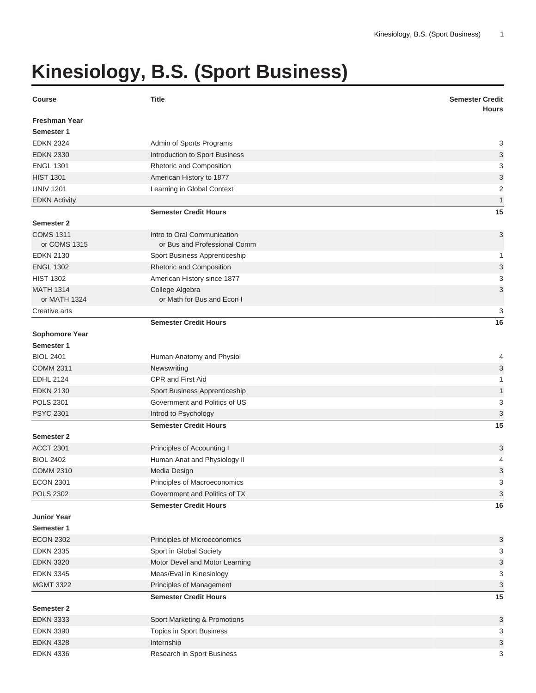## **Kinesiology, B.S. (Sport Business)**

| <b>Course</b>                    | <b>Title</b>                                                | <b>Semester Credit</b><br><b>Hours</b> |
|----------------------------------|-------------------------------------------------------------|----------------------------------------|
| <b>Freshman Year</b>             |                                                             |                                        |
| Semester 1                       |                                                             |                                        |
| <b>EDKN 2324</b>                 | Admin of Sports Programs                                    | 3                                      |
| <b>EDKN 2330</b>                 | Introduction to Sport Business                              | 3                                      |
| <b>ENGL 1301</b>                 | Rhetoric and Composition                                    | 3                                      |
| <b>HIST 1301</b>                 | American History to 1877                                    | 3                                      |
| <b>UNIV 1201</b>                 | Learning in Global Context                                  | $\overline{2}$                         |
| <b>EDKN Activity</b>             |                                                             | $\mathbf{1}$                           |
|                                  | <b>Semester Credit Hours</b>                                | 15                                     |
| <b>Semester 2</b>                |                                                             |                                        |
| <b>COMS 1311</b><br>or COMS 1315 | Intro to Oral Communication<br>or Bus and Professional Comm | 3                                      |
| <b>EDKN 2130</b>                 | Sport Business Apprenticeship                               | 1                                      |
| <b>ENGL 1302</b>                 | Rhetoric and Composition                                    | 3                                      |
| <b>HIST 1302</b>                 | American History since 1877                                 | 3                                      |
| <b>MATH 1314</b><br>or MATH 1324 | College Algebra<br>or Math for Bus and Econ I               | 3                                      |
| Creative arts                    |                                                             | 3                                      |
|                                  | <b>Semester Credit Hours</b>                                | 16                                     |
| <b>Sophomore Year</b>            |                                                             |                                        |
| Semester 1                       |                                                             |                                        |
| <b>BIOL 2401</b>                 | Human Anatomy and Physiol                                   | 4                                      |
| <b>COMM 2311</b>                 | Newswriting                                                 | 3                                      |
| <b>EDHL 2124</b>                 | <b>CPR and First Aid</b>                                    | 1                                      |
| <b>EDKN 2130</b>                 | Sport Business Apprenticeship                               | $\mathbf{1}$                           |
| <b>POLS 2301</b>                 | Government and Politics of US                               | 3                                      |
| <b>PSYC 2301</b>                 | Introd to Psychology                                        | 3                                      |
|                                  | <b>Semester Credit Hours</b>                                | 15                                     |
| <b>Semester 2</b>                |                                                             |                                        |
| <b>ACCT 2301</b>                 | Principles of Accounting I                                  | 3                                      |
| <b>BIOL 2402</b>                 | Human Anat and Physiology II                                | 4                                      |
| <b>COMM 2310</b>                 | Media Design                                                | 3                                      |
| <b>ECON 2301</b>                 | Principles of Macroeconomics                                | 3                                      |
| <b>POLS 2302</b>                 | Government and Politics of TX                               | 3                                      |
|                                  | <b>Semester Credit Hours</b>                                | 16                                     |
| <b>Junior Year</b>               |                                                             |                                        |
| Semester 1                       |                                                             |                                        |
| <b>ECON 2302</b>                 | Principles of Microeconomics                                | 3                                      |
| <b>EDKN 2335</b>                 | Sport in Global Society                                     | 3                                      |
| <b>EDKN 3320</b>                 | Motor Devel and Motor Learning                              | 3                                      |
| <b>EDKN 3345</b>                 | Meas/Eval in Kinesiology                                    | 3                                      |
| <b>MGMT 3322</b>                 | Principles of Management                                    | 3                                      |
|                                  | <b>Semester Credit Hours</b>                                | 15                                     |
| <b>Semester 2</b>                |                                                             |                                        |
| <b>EDKN 3333</b>                 | Sport Marketing & Promotions                                | 3                                      |
| <b>EDKN 3390</b>                 | Topics in Sport Business                                    | 3                                      |
| <b>EDKN 4328</b>                 | Internship                                                  | 3                                      |
| <b>EDKN 4336</b>                 | Research in Sport Business                                  | 3                                      |